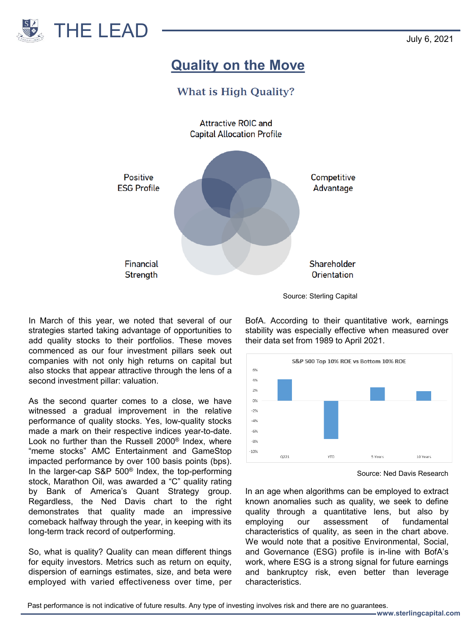

## **Quality on the Move**

## **What is High Quality?**



Source: Sterling Capital

In March of this year, we noted that several of our strategies started taking advantage of opportunities to add quality stocks to their portfolios. These moves commenced as our four investment pillars seek out companies with not only high returns on capital but also stocks that appear attractive through the lens of a second investment pillar: valuation.

As the second quarter comes to a close, we have witnessed a gradual improvement in the relative performance of quality stocks. Yes, low-quality stocks made a mark on their respective indices year-to-date. Look no further than the Russell 2000® Index, where "meme stocks" AMC Entertainment and GameStop impacted performance by over 100 basis points (bps). In the larger-cap S&P 500® Index, the top-performing stock, Marathon Oil, was awarded a "C" quality rating by Bank of America's Quant Strategy group. Regardless, the Ned Davis chart to the right demonstrates that quality made an impressive comeback halfway through the year, in keeping with its long-term track record of outperforming.

So, what is quality? Quality can mean different things for equity investors. Metrics such as return on equity, dispersion of earnings estimates, size, and beta were employed with varied effectiveness over time, per

BofA. According to their quantitative work, earnings stability was especially effective when measured over their data set from 1989 to April 2021.



Source: Ned Davis Research

In an age when algorithms can be employed to extract known anomalies such as quality, we seek to define quality through a quantitative lens, but also by employing our assessment of fundamental characteristics of quality, as seen in the chart above. We would note that a positive Environmental, Social, and Governance (ESG) profile is in-line with BofA's work, where ESG is a strong signal for future earnings and bankruptcy risk, even better than leverage characteristics.

Past performance is not indicative of future results. Any type of investing involves risk and there are no guarantees.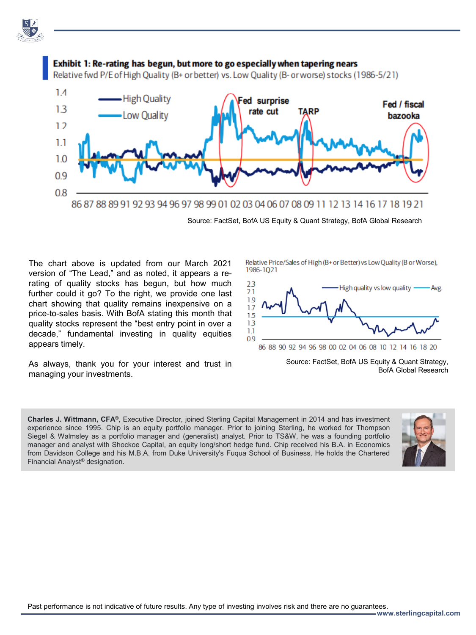



Source: FactSet, BofA US Equity & Quant Strategy, BofA Global Research

The chart above is updated from our March 2021 version of "The Lead," and as noted, it appears a rerating of quality stocks has begun, but how much further could it go? To the right, we provide one last chart showing that quality remains inexpensive on a price-to-sales basis. With BofA stating this month that quality stocks represent the "best entry point in over a decade," fundamental investing in quality equities appears timely.

As always, thank you for your interest and trust in managing your investments.

Relative Price/Sales of High (B+ or Better) vs Low Quality (B or Worse). 1986-1021



Source: FactSet, BofA US Equity & Quant Strategy, BofA Global Research

**Charles J. Wittmann, CFA®**, Executive Director, joined Sterling Capital Management in 2014 and has investment experience since 1995. Chip is an equity portfolio manager. Prior to joining Sterling, he worked for Thompson Siegel & Walmsley as a portfolio manager and (generalist) analyst. Prior to TS&W, he was a founding portfolio manager and analyst with Shockoe Capital, an equity long/short hedge fund. Chip received his B.A. in Economics from Davidson College and his M.B.A. from Duke University's Fuqua School of Business. He holds the Chartered Financial Analyst® designation.



**www.sterlingcapital.com**